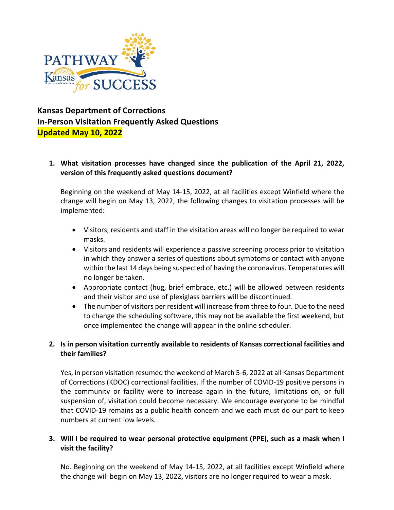

# **Kansas Department of Corrections In-Person Visitation Frequently Asked Questions Updated May 10, 2022**

# **1. What visitation processes have changed since the publication of the April 21, 2022, version of this frequently asked questions document?**

Beginning on the weekend of May 14-15, 2022, at all facilities except Winfield where the change will begin on May 13, 2022, the following changes to visitation processes will be implemented:

- Visitors, residents and staff in the visitation areas will no longer be required to wear masks.
- Visitors and residents will experience a passive screening process prior to visitation in which they answer a series of questions about symptoms or contact with anyone within the last 14 days being suspected of having the coronavirus. Temperatures will no longer be taken.
- Appropriate contact (hug, brief embrace, etc.) will be allowed between residents and their visitor and use of plexiglass barriers will be discontinued.
- The number of visitors per resident will increase from three to four. Due to the need to change the scheduling software, this may not be available the first weekend, but once implemented the change will appear in the online scheduler.

# **2. Is in person visitation currently available to residents of Kansas correctional facilities and their families?**

Yes, in person visitation resumed the weekend of March 5-6, 2022 at all Kansas Department of Corrections (KDOC) correctional facilities. If the number of COVID-19 positive persons in the community or facility were to increase again in the future, limitations on, or full suspension of, visitation could become necessary. We encourage everyone to be mindful that COVID-19 remains as a public health concern and we each must do our part to keep numbers at current low levels.

# **3. Will I be required to wear personal protective equipment (PPE), such as a mask when I visit the facility?**

No. Beginning on the weekend of May 14-15, 2022, at all facilities except Winfield where the change will begin on May 13, 2022, visitors are no longer required to wear a mask.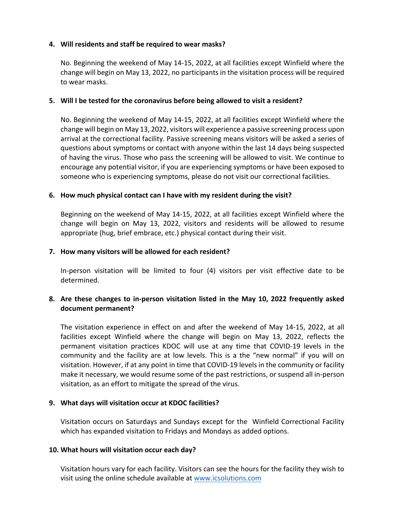#### **4. Will residents and staff be required to wear masks?**

No. Beginning the weekend of May 14-15, 2022, at all facilities except Winfield where the change will begin on May 13, 2022, no participants in the visitation process will be required to wear masks.

#### **5. Will I be tested for the coronavirus before being allowed to visit a resident?**

No. Beginning the weekend of May 14-15, 2022, at all facilities except Winfield where the change will begin on May 13, 2022, visitors will experience a passive screening process upon arrival at the correctional facility. Passive screening means visitors will be asked a series of questions about symptoms or contact with anyone within the last 14 days being suspected of having the virus. Those who pass the screening will be allowed to visit. We continue to encourage any potential visitor, if you are experiencing symptoms or have been exposed to someone who is experiencing symptoms, please do not visit our correctional facilities.

#### **6. How much physical contact can I have with my resident during the visit?**

Beginning on the weekend of May 14-15, 2022, at all facilities except Winfield where the change will begin on May 13, 2022, visitors and residents will be allowed to resume appropriate (hug, brief embrace, etc.) physical contact during their visit.

#### **7. How many visitors will be allowed for each resident?**

In-person visitation will be limited to four (4) visitors per visit effective date to be determined.

# **8. Are these changes to in-person visitation listed in the May 10, 2022 frequently asked document permanent?**

The visitation experience in effect on and after the weekend of May 14-15, 2022, at all facilities except Winfield where the change will begin on May 13, 2022, reflects the permanent visitation practices KDOC will use at any time that COVID-19 levels in the community and the facility are at low levels. This is a the "new normal" if you will on visitation. However, if at any point in time that COVID-19 levels in the community or facility make it necessary, we would resume some of the past restrictions, or suspend all in-person visitation, as an effort to mitigate the spread of the virus.

#### **9. What days will visitation occur at KDOC facilities?**

Visitation occurs on Saturdays and Sundays except for the Winfield Correctional Facility which has expanded visitation to Fridays and Mondays as added options.

#### **10. What hours will visitation occur each day?**

Visitation hours vary for each facility. Visitors can see the hours for the facility they wish to visit using the online schedule available at [www.icsolutions.com](http://www.icsolutions.com/)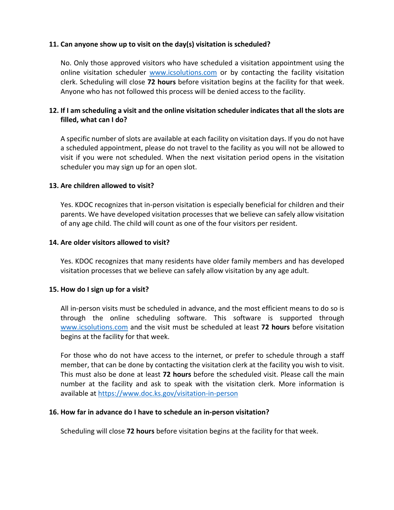#### **11. Can anyone show up to visit on the day(s) visitation is scheduled?**

No. Only those approved visitors who have scheduled a visitation appointment using the online visitation scheduler [www.icsolutions.com](http://www.icsolutions.com/) or by contacting the facility visitation clerk. Scheduling will close **72 hours** before visitation begins at the facility for that week. Anyone who has not followed this process will be denied access to the facility.

# **12. If I am scheduling a visit and the online visitation scheduler indicates that all the slots are filled, what can I do?**

A specific number of slots are available at each facility on visitation days. If you do not have a scheduled appointment, please do not travel to the facility as you will not be allowed to visit if you were not scheduled. When the next visitation period opens in the visitation scheduler you may sign up for an open slot.

#### **13. Are children allowed to visit?**

Yes. KDOC recognizes that in-person visitation is especially beneficial for children and their parents. We have developed visitation processes that we believe can safely allow visitation of any age child. The child will count as one of the four visitors per resident.

#### **14. Are older visitors allowed to visit?**

Yes. KDOC recognizes that many residents have older family members and has developed visitation processes that we believe can safely allow visitation by any age adult.

#### **15. How do I sign up for a visit?**

All in-person visits must be scheduled in advance, and the most efficient means to do so is through the online scheduling software. This software is supported through [www.icsolutions.com](http://www.icsolutions.com/) and the visit must be scheduled at least **72 hours** before visitation begins at the facility for that week.

For those who do not have access to the internet, or prefer to schedule through a staff member, that can be done by contacting the visitation clerk at the facility you wish to visit. This must also be done at least **72 hours** before the scheduled visit. Please call the main number at the facility and ask to speak with the visitation clerk. More information is available at<https://www.doc.ks.gov/visitation-in-person>

#### **16. How far in advance do I have to schedule an in-person visitation?**

Scheduling will close **72 hours** before visitation begins at the facility for that week.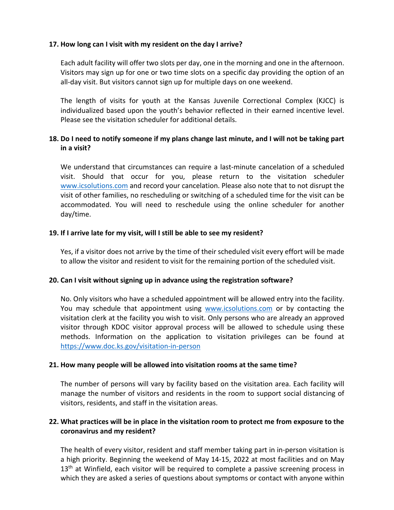#### **17. How long can I visit with my resident on the day I arrive?**

Each adult facility will offer two slots per day, one in the morning and one in the afternoon. Visitors may sign up for one or two time slots on a specific day providing the option of an all-day visit. But visitors cannot sign up for multiple days on one weekend.

The length of visits for youth at the Kansas Juvenile Correctional Complex (KJCC) is individualized based upon the youth's behavior reflected in their earned incentive level. Please see the visitation scheduler for additional details.

# **18. Do I need to notify someone if my plans change last minute, and I will not be taking part in a visit?**

We understand that circumstances can require a last-minute cancelation of a scheduled visit. Should that occur for you, please return to the visitation scheduler [www.icsolutions.com](http://www.icsolutions.com/) and record your cancelation. Please also note that to not disrupt the visit of other families, no rescheduling or switching of a scheduled time for the visit can be accommodated. You will need to reschedule using the online scheduler for another day/time.

#### **19. If I arrive late for my visit, will I still be able to see my resident?**

Yes, if a visitor does not arrive by the time of their scheduled visit every effort will be made to allow the visitor and resident to visit for the remaining portion of the scheduled visit.

# **20. Can I visit without signing up in advance using the registration software?**

No. Only visitors who have a scheduled appointment will be allowed entry into the facility. You may schedule that appointment using [www.icsolutions.com](http://www.icsolutions.com/) or by contacting the visitation clerk at the facility you wish to visit. Only persons who are already an approved visitor through KDOC visitor approval process will be allowed to schedule using these methods. Information on the application to visitation privileges can be found at <https://www.doc.ks.gov/visitation-in-person>

#### **21. How many people will be allowed into visitation rooms at the same time?**

The number of persons will vary by facility based on the visitation area. Each facility will manage the number of visitors and residents in the room to support social distancing of visitors, residents, and staff in the visitation areas.

# **22. What practices will be in place in the visitation room to protect me from exposure to the coronavirus and my resident?**

The health of every visitor, resident and staff member taking part in in-person visitation is a high priority. Beginning the weekend of May 14-15, 2022 at most facilities and on May 13<sup>th</sup> at Winfield, each visitor will be required to complete a passive screening process in which they are asked a series of questions about symptoms or contact with anyone within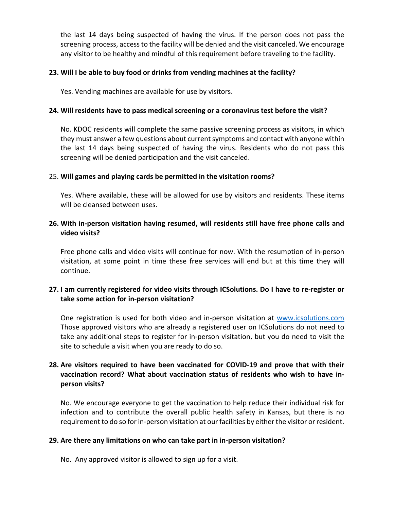the last 14 days being suspected of having the virus. If the person does not pass the screening process, access to the facility will be denied and the visit canceled. We encourage any visitor to be healthy and mindful of this requirement before traveling to the facility.

#### **23. Will I be able to buy food or drinks from vending machines at the facility?**

Yes. Vending machines are available for use by visitors.

#### **24. Will residents have to pass medical screening or a coronavirus test before the visit?**

No. KDOC residents will complete the same passive screening process as visitors, in which they must answer a few questions about current symptoms and contact with anyone within the last 14 days being suspected of having the virus. Residents who do not pass this screening will be denied participation and the visit canceled.

#### 25. **Will games and playing cards be permitted in the visitation rooms?**

Yes. Where available, these will be allowed for use by visitors and residents. These items will be cleansed between uses.

#### **26. With in-person visitation having resumed, will residents still have free phone calls and video visits?**

Free phone calls and video visits will continue for now. With the resumption of in-person visitation, at some point in time these free services will end but at this time they will continue.

# **27. I am currently registered for video visits through ICSolutions. Do I have to re-register or take some action for in-person visitation?**

One registration is used for both video and in-person visitation at [www.icsolutions.com](http://www.icsolutions.com/) Those approved visitors who are already a registered user on ICSolutions do not need to take any additional steps to register for in-person visitation, but you do need to visit the site to schedule a visit when you are ready to do so.

# **28. Are visitors required to have been vaccinated for COVID-19 and prove that with their vaccination record? What about vaccination status of residents who wish to have inperson visits?**

No. We encourage everyone to get the vaccination to help reduce their individual risk for infection and to contribute the overall public health safety in Kansas, but there is no requirement to do so for in-person visitation at our facilities by either the visitor or resident.

# **29. Are there any limitations on who can take part in in-person visitation?**

No. Any approved visitor is allowed to sign up for a visit.